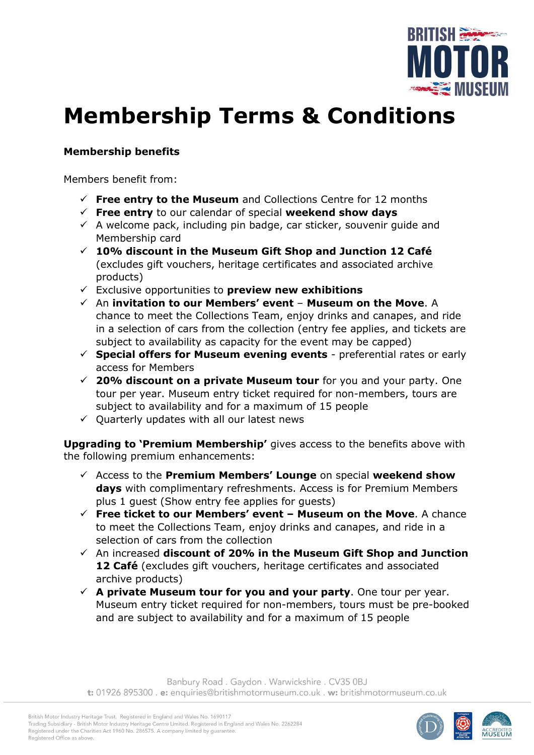

# **Membership Terms & Conditions**

## **Membership benefits**

Members benefit from:

- $\checkmark$  Free entry to the Museum and Collections Centre for 12 months
- **Free entry** to our calendar of special **weekend show days**
- $\checkmark$  A welcome pack, including pin badge, car sticker, souvenir guide and Membership card
- **10% discount in the Museum Gift Shop and Junction 12 Café** (excludes gift vouchers, heritage certificates and associated archive products)
- Exclusive opportunities to **preview new exhibitions**
- An **invitation to our Members' event Museum on the Move**. A chance to meet the Collections Team, enjoy drinks and canapes, and ride in a selection of cars from the collection (entry fee applies, and tickets are subject to availability as capacity for the event may be capped)
- **Special offers for Museum evening events** preferential rates or early access for Members
- **20% discount on a private Museum tour** for you and your party. One tour per year. Museum entry ticket required for non-members, tours are subject to availability and for a maximum of 15 people
- $\checkmark$  Quarterly updates with all our latest news

**Upgrading to 'Premium Membership'** gives access to the benefits above with the following premium enhancements:

- Access to the **Premium Members' Lounge** on special **weekend show days** with complimentary refreshments. Access is for Premium Members plus 1 guest (Show entry fee applies for guests)
- **Free ticket to our Members' event – Museum on the Move**. A chance to meet the Collections Team, enjoy drinks and canapes, and ride in a selection of cars from the collection
- An increased **discount of 20% in the Museum Gift Shop and Junction 12 Café** (excludes gift vouchers, heritage certificates and associated archive products)
- $\checkmark$  A private Museum tour for you and your party. One tour per year. Museum entry ticket required for non-members, tours must be pre-booked and are subject to availability and for a maximum of 15 people

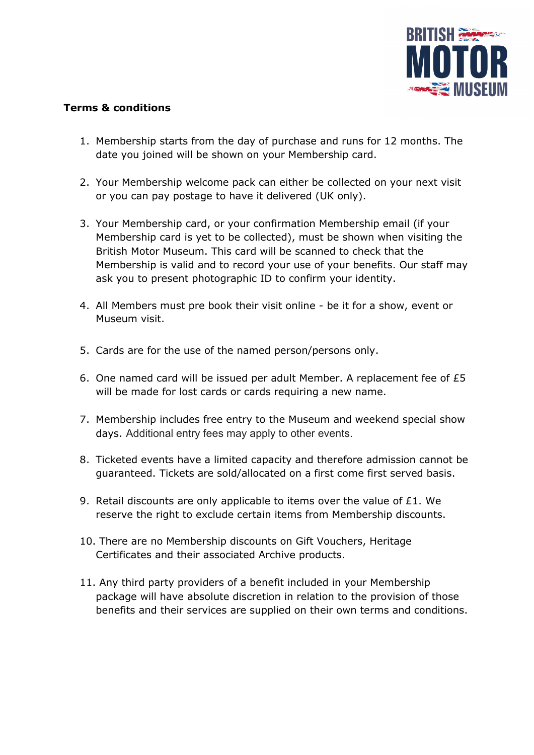

## **Terms & conditions**

- 1. Membership starts from the day of purchase and runs for 12 months. The date you joined will be shown on your Membership card.
- 2. Your Membership welcome pack can either be collected on your next visit or you can pay postage to have it delivered (UK only).
- 3. Your Membership card, or your confirmation Membership email (if your Membership card is yet to be collected), must be shown when visiting the British Motor Museum. This card will be scanned to check that the Membership is valid and to record your use of your benefits. Our staff may ask you to present photographic ID to confirm your identity.
- 4. All Members must pre book their visit online be it for a show, event or Museum visit.
- 5. Cards are for the use of the named person/persons only.
- 6. One named card will be issued per adult Member. A replacement fee of £5 will be made for lost cards or cards requiring a new name.
- 7. Membership includes free entry to the Museum and weekend special show days. Additional entry fees may apply to other events.
- 8. Ticketed events have a limited capacity and therefore admission cannot be guaranteed. Tickets are sold/allocated on a first come first served basis.
- 9. Retail discounts are only applicable to items over the value of  $E1$ . We reserve the right to exclude certain items from Membership discounts.
- 10. There are no Membership discounts on Gift Vouchers, Heritage Certificates and their associated Archive products.
- 11. Any third party providers of a benefit included in your Membership package will have absolute discretion in relation to the provision of those benefits and their services are supplied on their own terms and conditions.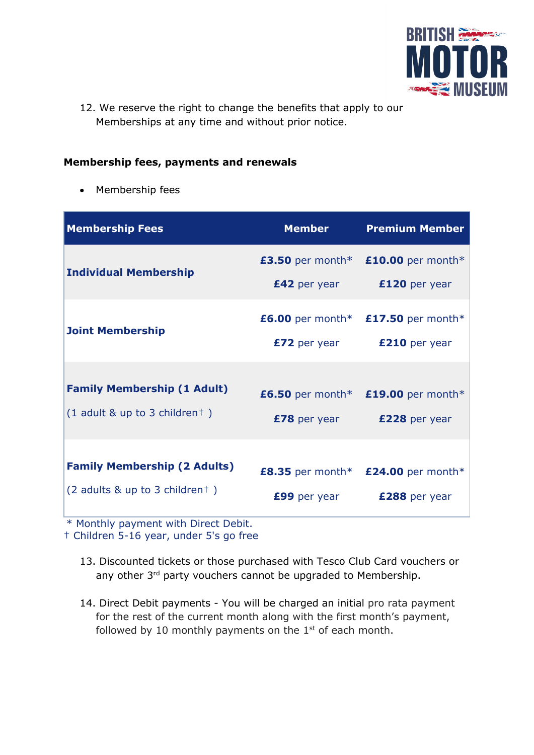

12. We reserve the right to change the benefits that apply to our Memberships at any time and without prior notice.

#### **Membership fees, payments and renewals**

• Membership fees

| <b>Membership Fees</b>                                                | <b>Member</b>                              | <b>Premium Member</b>                                 |
|-----------------------------------------------------------------------|--------------------------------------------|-------------------------------------------------------|
| <b>Individual Membership</b>                                          | £3.50 per month $*$<br><b>£42</b> per year | £10.00 per month*<br>£120 per year                    |
| <b>Joint Membership</b>                                               | £6.00 per month $*$<br><b>£72</b> per year | £17.50 per month*<br>£210 per year                    |
| <b>Family Membership (1 Adult)</b><br>$(1$ adult & up to 3 childrent) | <b>£78</b> per year                        | £6.50 per month* $£19.00$ per month*<br>£228 per year |
| <b>Family Membership (2 Adults)</b><br>(2 adults & up to 3 childrent) | £8.35 per month $*$<br>£99 per year        | £24.00 per month*<br>£288 per year                    |

\* Monthly payment with Direct Debit.

† Children 5-16 year, under 5's go free

- 13. Discounted tickets or those purchased with Tesco Club Card vouchers or any other 3<sup>rd</sup> party vouchers cannot be upgraded to Membership.
- 14. Direct Debit payments You will be charged an initial pro rata payment for the rest of the current month along with the first month's payment, followed by 10 monthly payments on the  $1<sup>st</sup>$  of each month.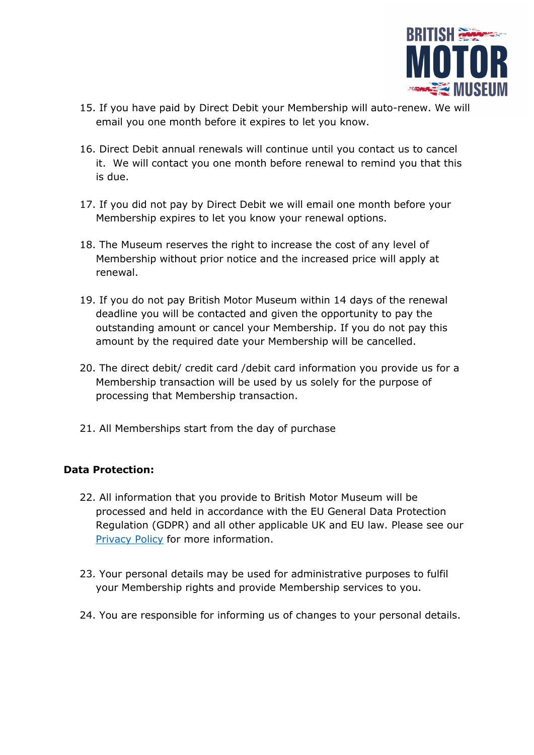

- 15. If you have paid by Direct Debit your Membership will auto-renew. We will email you one month before it expires to let you know.
- 16. Direct Debit annual renewals will continue until you contact us to cancel it. We will contact you one month before renewal to remind you that this is due.
- 17. If you did not pay by Direct Debit we will email one month before your Membership expires to let you know your renewal options.
- 18. The Museum reserves the right to increase the cost of any level of Membership without prior notice and the increased price will apply at renewal.
- 19. If you do not pay British Motor Museum within 14 days of the renewal deadline you will be contacted and given the opportunity to pay the outstanding amount or cancel your Membership. If you do not pay this amount by the required date your Membership will be cancelled.
- 20. The direct debit/ credit card /debit card information you provide us for a Membership transaction will be used by us solely for the purpose of processing that Membership transaction.
- 21. All Memberships start from the day of purchase

## **Data Protection:**

- 22. All information that you provide to British Motor Museum will be processed and held in accordance with the EU General Data Protection Regulation (GDPR) and all other applicable UK and EU law. Please see our [Privacy Policy](https://www.britishmotormuseum.co.uk/privacy-policy) for more information.
- 23. Your personal details may be used for administrative purposes to fulfil your Membership rights and provide Membership services to you.
- 24. You are responsible for informing us of changes to your personal details.